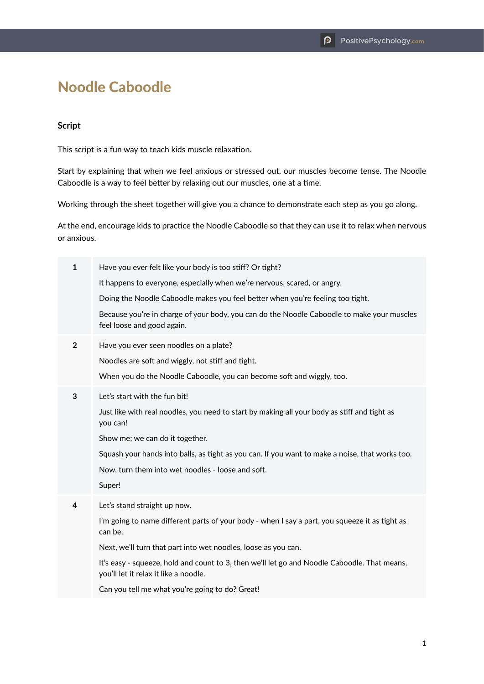## Noodle Caboodle

## **Script**

This script is a fun way to teach kids muscle relaxation.

Start by explaining that when we feel anxious or stressed out, our muscles become tense. The Noodle Caboodle is a way to feel better by relaxing out our muscles, one at a time.

Working through the sheet together will give you a chance to demonstrate each step as you go along.

At the end, encourage kids to practice the Noodle Caboodle so that they can use it to relax when nervous or anxious.

| 1              | Have you ever felt like your body is too stiff? Or tight?                                                                             |
|----------------|---------------------------------------------------------------------------------------------------------------------------------------|
|                | It happens to everyone, especially when we're nervous, scared, or angry.                                                              |
|                | Doing the Noodle Caboodle makes you feel better when you're feeling too tight.                                                        |
|                | Because you're in charge of your body, you can do the Noodle Caboodle to make your muscles<br>feel loose and good again.              |
| $\overline{2}$ | Have you ever seen noodles on a plate?                                                                                                |
|                | Noodles are soft and wiggly, not stiff and tight.                                                                                     |
|                | When you do the Noodle Caboodle, you can become soft and wiggly, too.                                                                 |
| 3              | Let's start with the fun bit!                                                                                                         |
|                | Just like with real noodles, you need to start by making all your body as stiff and tight as<br>you can!                              |
|                | Show me; we can do it together.                                                                                                       |
|                | Squash your hands into balls, as tight as you can. If you want to make a noise, that works too.                                       |
|                | Now, turn them into wet noodles - loose and soft.                                                                                     |
|                | Super!                                                                                                                                |
| 4              | Let's stand straight up now.                                                                                                          |
|                | I'm going to name different parts of your body - when I say a part, you squeeze it as tight as<br>can be.                             |
|                | Next, we'll turn that part into wet noodles, loose as you can.                                                                        |
|                | It's easy - squeeze, hold and count to 3, then we'll let go and Noodle Caboodle. That means,<br>you'll let it relax it like a noodle. |
|                | Can you tell me what you're going to do? Great!                                                                                       |
|                |                                                                                                                                       |